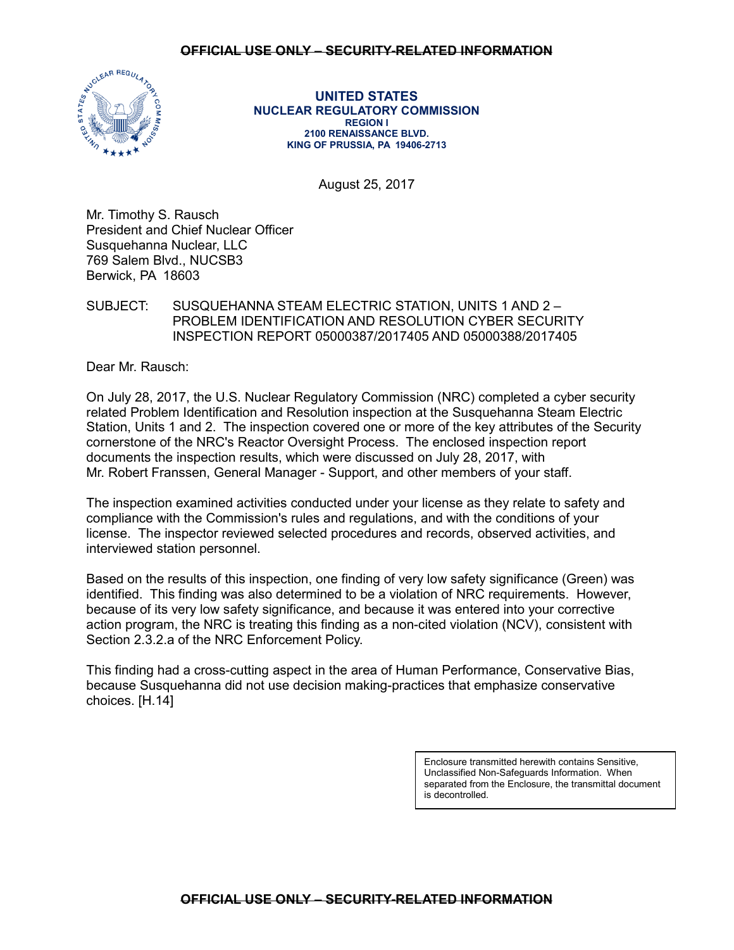## **OFFICIAL USE ONLY – SECURITY-RELATED INFORMATION**



**UNITED STATES NUCLEAR REGULATORY COMMISSION REGION I 2100 RENAISSANCE BLVD. KING OF PRUSSIA, PA 19406-2713**

August 25, 2017

Mr. Timothy S. Rausch President and Chief Nuclear Officer Susquehanna Nuclear, LLC 769 Salem Blvd., NUCSB3 Berwick, PA 18603

SUBJECT: SUSQUEHANNA STEAM ELECTRIC STATION, UNITS 1 AND 2 – PROBLEM IDENTIFICATION AND RESOLUTION CYBER SECURITY INSPECTION REPORT 05000387/2017405 AND 05000388/2017405

Dear Mr. Rausch:

On July 28, 2017, the U.S. Nuclear Regulatory Commission (NRC) completed a cyber security related Problem Identification and Resolution inspection at the Susquehanna Steam Electric Station, Units 1 and 2. The inspection covered one or more of the key attributes of the Security cornerstone of the NRC's Reactor Oversight Process. The enclosed inspection report documents the inspection results, which were discussed on July 28, 2017, with Mr. Robert Franssen, General Manager - Support, and other members of your staff.

The inspection examined activities conducted under your license as they relate to safety and compliance with the Commission's rules and regulations, and with the conditions of your license. The inspector reviewed selected procedures and records, observed activities, and interviewed station personnel.

Based on the results of this inspection, one finding of very low safety significance (Green) was identified. This finding was also determined to be a violation of NRC requirements. However, because of its very low safety significance, and because it was entered into your corrective action program, the NRC is treating this finding as a non-cited violation (NCV), consistent with Section 2.3.2.a of the NRC Enforcement Policy.

This finding had a cross-cutting aspect in the area of Human Performance, Conservative Bias, because Susquehanna did not use decision making-practices that emphasize conservative choices. [H.14]

> Enclosure transmitted herewith contains Sensitive, Unclassified Non-Safeguards Information. When separated from the Enclosure, the transmittal document is decontrolled.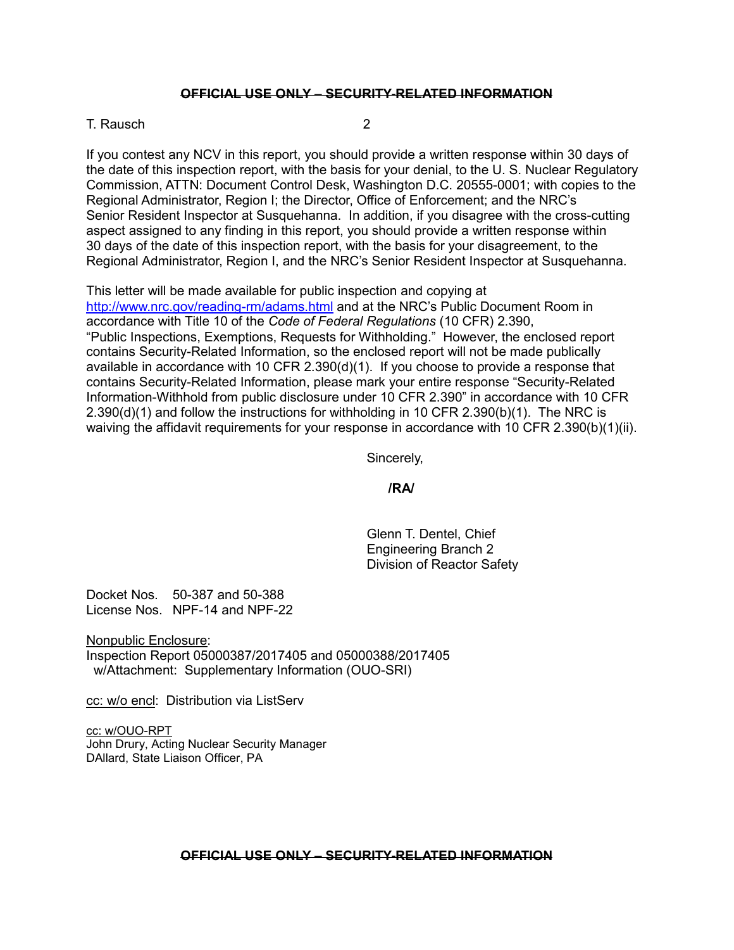# **OFFICIAL USE ONLY – SECURITY-RELATED INFORMATION**

#### T. Rausch 2007 - 2008 - 2009 - 2009 - 2009 - 2009 - 2009 - 2009 - 2009 - 2009 - 2009 - 2009 - 2009 - 2009 - 20

If you contest any NCV in this report, you should provide a written response within 30 days of the date of this inspection report, with the basis for your denial, to the U. S. Nuclear Regulatory Commission, ATTN: Document Control Desk, Washington D.C. 20555-0001; with copies to the Regional Administrator, Region I; the Director, Office of Enforcement; and the NRC's Senior Resident Inspector at Susquehanna. In addition, if you disagree with the cross-cutting aspect assigned to any finding in this report, you should provide a written response within 30 days of the date of this inspection report, with the basis for your disagreement, to the Regional Administrator, Region I, and the NRC's Senior Resident Inspector at Susquehanna.

This letter will be made available for public inspection and copying at <http://www.nrc.gov/reading-rm/adams.html> and at the NRC's Public Document Room in accordance with Title 10 of the *Code of Federal Regulations* (10 CFR) 2.390, "Public Inspections, Exemptions, Requests for Withholding." However, the enclosed report contains Security-Related Information, so the enclosed report will not be made publically available in accordance with 10 CFR  $2.390(d)(1)$ . If you choose to provide a response that contains Security-Related Information, please mark your entire response "Security-Related Information-Withhold from public disclosure under 10 CFR 2.390" in accordance with 10 CFR  $2.390(d)(1)$  and follow the instructions for withholding in 10 CFR  $2.390(b)(1)$ . The NRC is waiving the affidavit requirements for your response in accordance with 10 CFR 2.390(b)(1)(ii).

Sincerely,

## **/RA/**

Glenn T. Dentel, Chief Engineering Branch 2 Division of Reactor Safety

Docket Nos. 50-387 and 50-388 License Nos. NPF-14 and NPF-22

Nonpublic Enclosure: Inspection Report 05000387/2017405 and 05000388/2017405 w/Attachment: Supplementary Information (OUO-SRI)

cc: w/o encl: Distribution via ListServ

cc: w/OUO-RPT John Drury, Acting Nuclear Security Manager DAllard, State Liaison Officer, PA

## **OFFICIAL USE ONLY – SECURITY-RELATED INFORMATION**